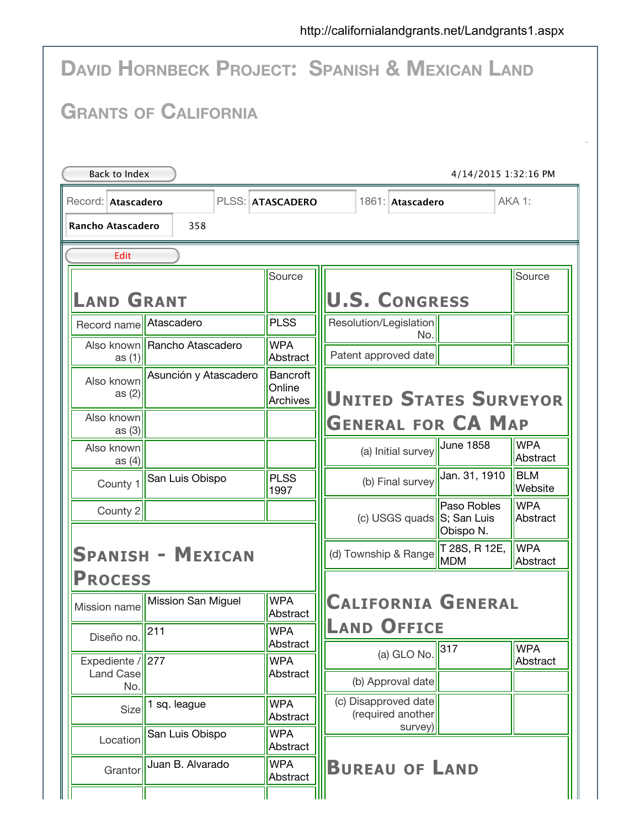|                                           |                              |                                              | <b>DAVID HORNBECK PROJECT: SPANISH &amp; MEXICAN LAND</b>                        |  |  |  |  |
|-------------------------------------------|------------------------------|----------------------------------------------|----------------------------------------------------------------------------------|--|--|--|--|
|                                           | <b>GRANTS OF CALIFORNIA</b>  |                                              |                                                                                  |  |  |  |  |
| Back to Index                             |                              |                                              | 4/14/2015 1:32:16 PM                                                             |  |  |  |  |
| Record: Atascadero                        |                              | PLSS: ATASCADERO                             | AKA 1:<br>1861: Atascadero                                                       |  |  |  |  |
| <b>Rancho Atascadero</b>                  | 358                          |                                              |                                                                                  |  |  |  |  |
| Edit                                      |                              |                                              |                                                                                  |  |  |  |  |
| <b>LAND GRANT</b>                         |                              | Source                                       | Source<br><b>U.S. CONGRESS</b>                                                   |  |  |  |  |
| Record name                               | Atascadero                   | <b>PLSS</b>                                  | Resolution/Legislation                                                           |  |  |  |  |
| as $(1)$                                  | Also known Rancho Atascadero | <b>WPA</b><br>Abstract                       | No.<br>Patent approved date                                                      |  |  |  |  |
| Also known<br>as $(2)$                    | Asunción y Atascadero        | <b>Bancroft</b><br>Online<br><b>Archives</b> | <b>UNITED STATES SURVEYOR</b>                                                    |  |  |  |  |
| Also known<br>as $(3)$                    |                              |                                              | <b>GENERAL FOR CA MAP</b>                                                        |  |  |  |  |
| Also known<br>as $(4)$                    |                              |                                              | <b>WPA</b><br>June 1858<br>(a) Initial survey<br>Abstract                        |  |  |  |  |
| County 1                                  | San Luis Obispo              | <b>PLSS</b><br>1997                          | Jan. 31, 1910<br><b>BLM</b><br>(b) Final survey<br>Website                       |  |  |  |  |
| County 2                                  |                              |                                              | <b>WPA</b><br>Paso Robles<br>(c) USGS quads S; San Luis<br>Abstract<br>Obispo N. |  |  |  |  |
|                                           | <b>SPANISH - MEXICAN</b>     |                                              | T 28S, R 12E,<br><b>WPA</b><br>(d) Township & Range<br><b>MDM</b><br>Abstract    |  |  |  |  |
| <b>PROCESS</b><br>Mission name            | Mission San Miguel           | <b>WPA</b>                                   | <b>CALIFORNIA GENERAL</b>                                                        |  |  |  |  |
| Diseño no.                                | 211                          | Abstract<br><b>WPA</b><br>Abstract           | <b>LAND OFFICE</b>                                                               |  |  |  |  |
| Expediente / $\ $ 277<br><b>Land Case</b> |                              | <b>WPA</b><br>Abstract                       | 317<br><b>WPA</b><br>(a) GLO No.<br>Abstract                                     |  |  |  |  |
| No.<br>Size                               | 1 sq. league                 | <b>WPA</b><br>Abstract                       | (b) Approval date<br>(c) Disapproved date<br>(required another                   |  |  |  |  |
| Location                                  | San Luis Obispo              | <b>WPA</b><br>Abstract                       | survey)                                                                          |  |  |  |  |
| Grantor                                   | Juan B. Alvarado             | <b>WPA</b><br>Abstract                       | <b>BUREAU OF LAND</b>                                                            |  |  |  |  |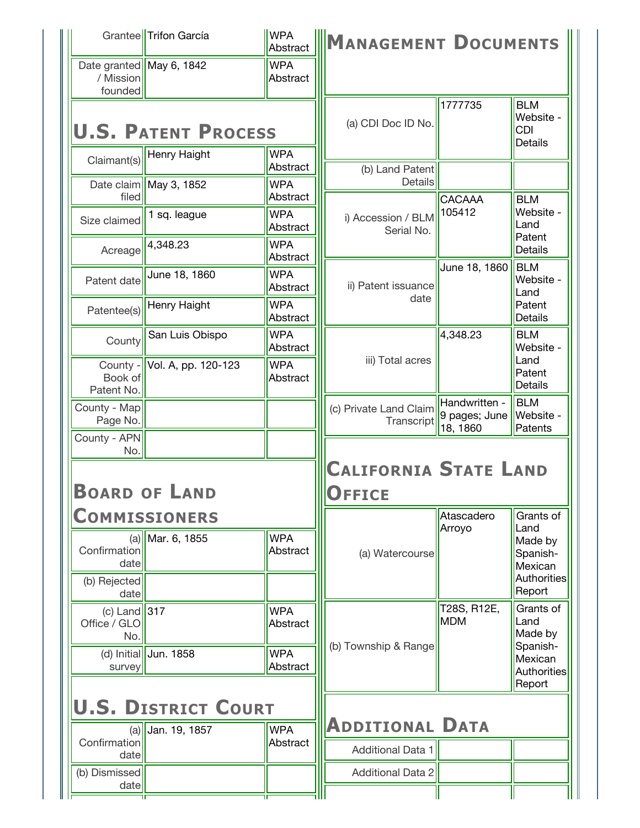|                                                  | Grantee Trifon García      | <b>WPA</b><br>Abstract | MANAGEMENT DOCUMENTS                                 |                                            |                                                         |
|--------------------------------------------------|----------------------------|------------------------|------------------------------------------------------|--------------------------------------------|---------------------------------------------------------|
| Date granted May 6, 1842<br>/ Mission<br>founded |                            | <b>WPA</b><br>Abstract |                                                      |                                            |                                                         |
|                                                  | <b>U.S. PATENT PROCESS</b> |                        | (a) CDI Doc ID No.                                   | 1777735                                    | <b>BLM</b><br>Website -<br><b>CDI</b><br><b>Details</b> |
| Claimant(s)                                      | Henry Haight               | <b>WPA</b><br>Abstract | (b) Land Patent                                      |                                            |                                                         |
| filed                                            | Date claim   May 3, 1852   | <b>WPA</b><br>Abstract | <b>Details</b>                                       | CACAAA                                     | <b>BLM</b>                                              |
| Size claimed                                     | 1 sq. league               | <b>WPA</b><br>Abstract | i) Accession / BLM<br>Serial No.                     | 105412                                     | Website -<br>Land<br>Patent                             |
| Acreage                                          | 4,348.23                   | <b>WPA</b><br>Abstract |                                                      | June 18, 1860                              | Details<br><b>BLM</b>                                   |
| Patent date                                      | June 18, 1860              | <b>WPA</b><br>Abstract | ii) Patent issuance<br>date                          |                                            | Website -<br>Land<br>Patent<br><b>Details</b>           |
| Patentee(s)                                      | Henry Haight               | <b>WPA</b><br>Abstract |                                                      |                                            |                                                         |
| County                                           | San Luis Obispo            | <b>WPA</b><br>Abstract |                                                      | 4,348.23                                   | <b>BLM</b><br>Website -                                 |
| County -<br>Book of<br>Patent No.                | Vol. A, pp. 120-123        | <b>WPA</b><br>Abstract | iii) Total acres                                     |                                            | Land<br>Patent<br>Details                               |
| County - Map<br>Page No.                         |                            |                        | (c) Private Land Claim<br>Transcript                 | Handwritten -<br>9 pages; June<br>18, 1860 | <b>BLM</b><br>Website -<br>Patents                      |
| County - APN<br>No.                              |                            |                        |                                                      |                                            |                                                         |
|                                                  | <b>BOARD OF LAND</b>       |                        | <b>CALIFORNIA STATE LAND</b><br><b>UFFICE</b>        |                                            |                                                         |
|                                                  | <b>COMMISSIONERS</b>       |                        |                                                      | Atascadero<br>Arroyo                       | Grants of<br>Land                                       |
| (a)<br>Confirmation<br>date                      | Mar. 6, 1855               | <b>WPA</b><br>Abstract | (a) Watercourse                                      |                                            | Made by<br>Spanish-<br>Mexican                          |
| (b) Rejected<br>date                             |                            |                        |                                                      |                                            | Authorities<br>Report                                   |
| (c) Land $\vert 317$                             |                            | <b>WPA</b>             |                                                      | T28S, R12E,                                | Grants of                                               |
| Office / GLO<br>No.                              |                            | Abstract               |                                                      | <b>MDM</b>                                 | Land<br>Made by                                         |
| survey                                           | (d) Initial Jun. 1858      | <b>WPA</b><br>Abstract | (b) Township & Range                                 |                                            | Spanish-<br>Mexican<br>Authorities<br>Report            |
|                                                  | <b>U.S. DISTRICT COURT</b> |                        |                                                      |                                            |                                                         |
| Confirmation                                     | $(a)$ Uan. 19, 1857        | <b>WPA</b><br>Abstract | <b>ADDITIONAL DATA</b>                               |                                            |                                                         |
| date<br>(b) Dismissed                            |                            |                        | <b>Additional Data 1</b><br><b>Additional Data 2</b> |                                            |                                                         |